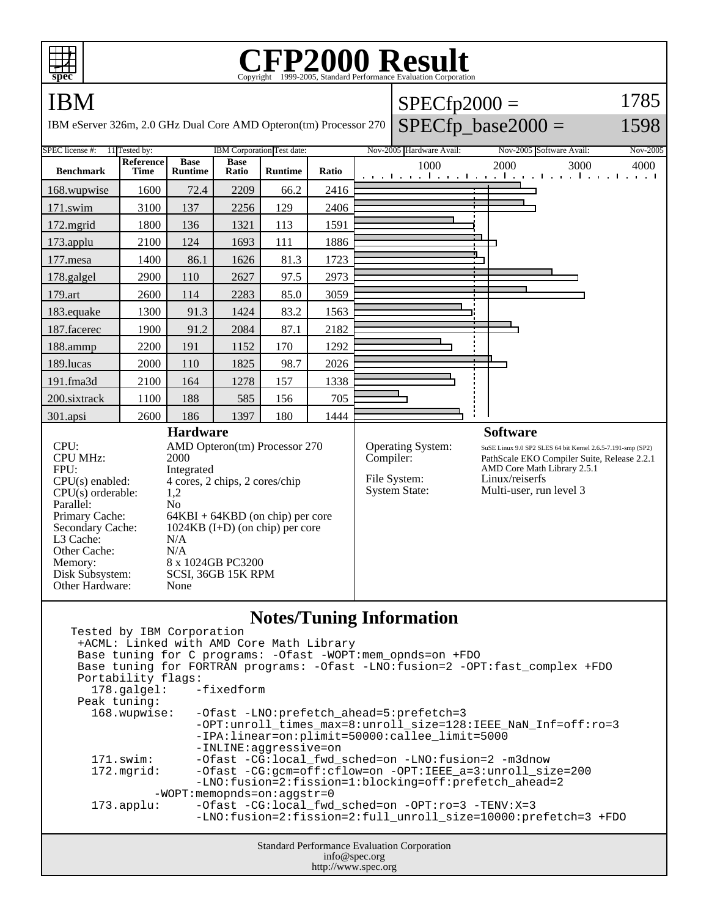

## **CFP2000 Result**

| ⊞⊞<br>spec                                                                                                                                                                              |                          |                               |                      |                            |       |           | r Pzuuu kesu<br>Copyright ©1999-2005, Standard Performance Evaluation Corporation |                                                                                                                                           |                 |
|-----------------------------------------------------------------------------------------------------------------------------------------------------------------------------------------|--------------------------|-------------------------------|----------------------|----------------------------|-------|-----------|-----------------------------------------------------------------------------------|-------------------------------------------------------------------------------------------------------------------------------------------|-----------------|
| IBM                                                                                                                                                                                     |                          |                               |                      |                            |       |           | $SPECfp2000 =$                                                                    |                                                                                                                                           | 1785            |
| IBM eServer 326m, 2.0 GHz Dual Core AMD Opteron(tm) Processor 270                                                                                                                       |                          |                               |                      |                            |       |           |                                                                                   | $SPECfp\_base2000 =$                                                                                                                      | 1598            |
| SPEC license #:                                                                                                                                                                         | 11 Tested by:            |                               |                      | IBM Corporation Test date: |       |           | Nov-2005 Hardware Avail:                                                          | Nov-2005 Software Avail:                                                                                                                  | <b>Nov-2005</b> |
| <b>Benchmark</b>                                                                                                                                                                        | <b>Reference</b><br>Time | <b>Base</b><br><b>Runtime</b> | <b>Base</b><br>Ratio | <b>Runtime</b>             | Ratio |           | 1000                                                                              | 2000<br>3000<br>المتوجبا وتوجا وتوجا وتوجا وتوجا وتوجا وتوجا وتوج                                                                         | 4000            |
| 168.wupwise                                                                                                                                                                             | 1600                     | 72.4                          | 2209                 | 66.2                       | 2416  |           |                                                                                   |                                                                                                                                           |                 |
| 171.swim                                                                                                                                                                                | 3100                     | 137                           | 2256                 | 129                        | 2406  |           |                                                                                   |                                                                                                                                           |                 |
| 172.mgrid                                                                                                                                                                               | 1800                     | 136                           | 1321                 | 113                        | 1591  |           |                                                                                   |                                                                                                                                           |                 |
| 173.applu                                                                                                                                                                               | 2100                     | 124                           | 1693                 | 111                        | 1886  |           |                                                                                   |                                                                                                                                           |                 |
| 177.mesa                                                                                                                                                                                | 1400                     | 86.1                          | 1626                 | 81.3                       | 1723  |           |                                                                                   |                                                                                                                                           |                 |
| 178.galgel                                                                                                                                                                              | 2900                     | 110                           | 2627                 | 97.5                       | 2973  |           |                                                                                   |                                                                                                                                           |                 |
| 179.art                                                                                                                                                                                 | 2600                     | 114                           | 2283                 | 85.0                       | 3059  |           |                                                                                   |                                                                                                                                           |                 |
| 183.equake                                                                                                                                                                              | 1300                     | 91.3                          | 1424                 | 83.2                       | 1563  |           |                                                                                   |                                                                                                                                           |                 |
| 187.facerec                                                                                                                                                                             | 1900                     | 91.2                          | 2084                 | 87.1                       | 2182  |           |                                                                                   |                                                                                                                                           |                 |
| 188.ammp                                                                                                                                                                                | 2200                     | 191                           | 1152                 | 170                        | 1292  |           |                                                                                   |                                                                                                                                           |                 |
| 189.lucas                                                                                                                                                                               | 2000                     | 110                           | 1825                 | 98.7                       | 2026  |           |                                                                                   |                                                                                                                                           |                 |
| 191.fma3d                                                                                                                                                                               | 2100                     | 164                           | 1278                 | 157                        | 1338  |           |                                                                                   |                                                                                                                                           |                 |
| 200.sixtrack                                                                                                                                                                            | 1100                     | 188                           | 585                  | 156                        | 705   |           |                                                                                   |                                                                                                                                           |                 |
| 301.apsi                                                                                                                                                                                | 2600                     | 186                           | 1397                 | 180                        | 1444  |           |                                                                                   |                                                                                                                                           |                 |
|                                                                                                                                                                                         | <b>Hardware</b>          |                               |                      |                            |       |           |                                                                                   | <b>Software</b>                                                                                                                           |                 |
| CPU:<br>AMD Opteron(tm) Processor 270<br><b>CPU MHz:</b><br>2000<br>FPU:<br>Integrated                                                                                                  |                          |                               |                      |                            |       | Compiler: | Operating System:                                                                 | SuSE Linux 9.0 SP2 SLES 64 bit Kernel 2.6.5-7.191-smp (SP2)<br>PathScale EKO Compiler Suite, Release 2.2.1<br>AMD Core Math Library 2.5.1 |                 |
| 4 cores, 2 chips, 2 cores/chip<br>$CPU(s)$ enabled:<br>CPU(s) orderable:<br>1,2                                                                                                         |                          |                               |                      |                            |       |           | File System:<br><b>System State:</b>                                              | Linux/reiserfs<br>Multi-user, run level 3                                                                                                 |                 |
| Parallel:<br>N <sub>o</sub><br>Primary Cache:<br>$64KBI + 64KBD$ (on chip) per core<br>Secondary Cache:<br>$1024KB$ (I+D) (on chip) per core<br>L3 Cache:<br>N/A<br>Other Cache:<br>N/A |                          |                               |                      |                            |       |           |                                                                                   |                                                                                                                                           |                 |
| 8 x 1024GB PC3200<br>Memory:<br>Disk Subsystem:<br>SCSI, 36GB 15K RPM<br>Other Hardware:<br>None                                                                                        |                          |                               |                      |                            |       |           |                                                                                   |                                                                                                                                           |                 |

## **Notes/Tuning Information**

| Tested by IBM Corporation                                                         |                                                                       |  |  |  |  |  |  |  |  |
|-----------------------------------------------------------------------------------|-----------------------------------------------------------------------|--|--|--|--|--|--|--|--|
| +ACML: Linked with AMD Core Math Library                                          |                                                                       |  |  |  |  |  |  |  |  |
| Base tuning for C programs: - Ofast - WOPT: mem_opnds=on +FDO                     |                                                                       |  |  |  |  |  |  |  |  |
| Base tuning for FORTRAN programs: - Ofast -LNO: fusion=2 - OPT: fast_complex +FDO |                                                                       |  |  |  |  |  |  |  |  |
| Portability flags:                                                                |                                                                       |  |  |  |  |  |  |  |  |
| 178.galgel: -fixedform                                                            |                                                                       |  |  |  |  |  |  |  |  |
| Peak tuning:                                                                      |                                                                       |  |  |  |  |  |  |  |  |
| 168.wupwise:                                                                      | -Ofast -LNO:prefetch ahead=5:prefetch=3                               |  |  |  |  |  |  |  |  |
|                                                                                   | -OPT: unroll times max=8: unroll size=128: IEEE NaN Inf=off: ro=3     |  |  |  |  |  |  |  |  |
|                                                                                   | -IPA:linear=on:plimit=50000:callee limit=5000                         |  |  |  |  |  |  |  |  |
|                                                                                   | -INLINE:aqqressive=on                                                 |  |  |  |  |  |  |  |  |
| 171.swim:                                                                         | -Ofast -CG:local fwd sched=on -LNO:fusion=2 -m3dnow                   |  |  |  |  |  |  |  |  |
| $172.\text{mgrid}:$                                                               | $-Ofast - CG: qcm = off: cflow = on -OPT: IEEE a=3:unroll size = 200$ |  |  |  |  |  |  |  |  |
|                                                                                   | -LNO:fusion=2:fission=1:blocking=off:prefetch ahead=2                 |  |  |  |  |  |  |  |  |
|                                                                                   | $-WOPT:$ memopnds=on:aqqstr=0                                         |  |  |  |  |  |  |  |  |
| $173.\text{applu}:$                                                               | -Ofast -CG:local_fwd_sched=on -OPT:ro=3 -TENV:X=3                     |  |  |  |  |  |  |  |  |
|                                                                                   | -LNO:fusion=2:fission=2:full unroll size=10000:prefetch=3 +FDO        |  |  |  |  |  |  |  |  |
|                                                                                   |                                                                       |  |  |  |  |  |  |  |  |
| <b>Standard Performance Evaluation Corporation</b>                                |                                                                       |  |  |  |  |  |  |  |  |
| info@spec.org                                                                     |                                                                       |  |  |  |  |  |  |  |  |
| http://www.spec.org                                                               |                                                                       |  |  |  |  |  |  |  |  |